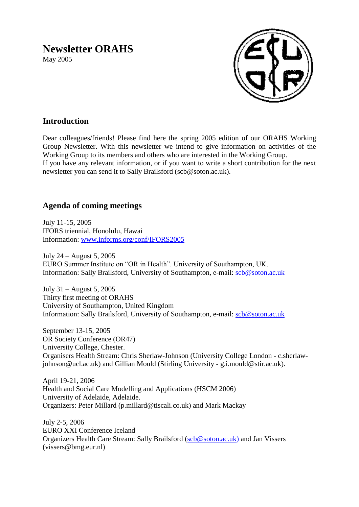# **Newsletter ORAHS**

May 2005



# **Introduction**

Dear colleagues/friends! Please find here the spring 2005 edition of our ORAHS Working Group Newsletter. With this newsletter we intend to give information on activities of the Working Group to its members and others who are interested in the Working Group. If you have any relevant information, or if you want to write a short contribution for the next newsletter you can send it to Sally Brailsford [\(scb@soton.ac.uk\)](mailto:scb@soton.ac.uk).

# **Agenda of coming meetings**

July 11-15, 2005 IFORS triennial, Honolulu, Hawai Information: [www.informs.org/conf/IFORS2005](http://www.informs.org/conf/IFORS2005)

July 24 – August 5, 2005 EURO Summer Institute on "OR in Health". University of Southampton, UK. Information: Sally Brailsford, University of Southampton, e-mail: [scb@soton.ac.uk](mailto:scb@soton.ac.uk)

July 31 – August 5, 2005 Thirty first meeting of ORAHS University of Southampton, United Kingdom Information: Sally Brailsford, University of Southampton, e-mail: [scb@soton.ac.uk](mailto:scb@soton.ac.uk)

September 13-15, 2005 OR Society Conference (OR47) University College, Chester. Organisers Health Stream: Chris Sherlaw-Johnson (University College London - c.sherlawjohnson@ucl.ac.uk) and Gillian Mould (Stirling University - g.i.mould@stir.ac.uk).

April 19-21, 2006 Health and Social Care Modelling and Applications (HSCM 2006) University of Adelaide, Adelaide. Organizers: Peter Millard (p.millard@tiscali.co.uk) and Mark Mackay

July 2-5, 2006 EURO XXI Conference Iceland Organizers Health Care Stream: Sally Brailsford [\(scb@soton.ac.uk\)](mailto:scb@soton.ac.uk) and Jan Vissers (vissers@bmg.eur.nl)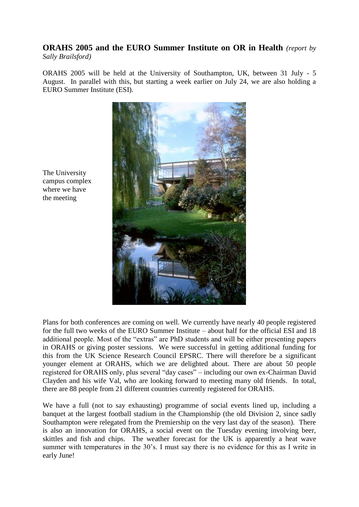# **ORAHS 2005 and the EURO Summer Institute on OR in Health** *(report by Sally Brailsford)*

ORAHS 2005 will be held at the University of Southampton, UK, between 31 July - 5 August. In parallel with this, but starting a week earlier on July 24, we are also holding a EURO Summer Institute (ESI).



The University campus complex where we have the meeting

Plans for both conferences are coming on well. We currently have nearly 40 people registered for the full two weeks of the EURO Summer Institute – about half for the official ESI and 18 additional people. Most of the "extras" are PhD students and will be either presenting papers in ORAHS or giving poster sessions. We were successful in getting additional funding for this from the UK Science Research Council EPSRC. There will therefore be a significant younger element at ORAHS, which we are delighted about. There are about 50 people registered for ORAHS only, plus several "day cases" – including our own ex-Chairman David Clayden and his wife Val, who are looking forward to meeting many old friends. In total, there are 88 people from 21 different countries currently registered for ORAHS.

We have a full (not to say exhausting) programme of social events lined up, including a banquet at the largest football stadium in the Championship (the old Division 2, since sadly Southampton were relegated from the Premiership on the very last day of the season). There is also an innovation for ORAHS, a social event on the Tuesday evening involving beer, skittles and fish and chips. The weather forecast for the UK is apparently a heat wave summer with temperatures in the 30's. I must say there is no evidence for this as I write in early June!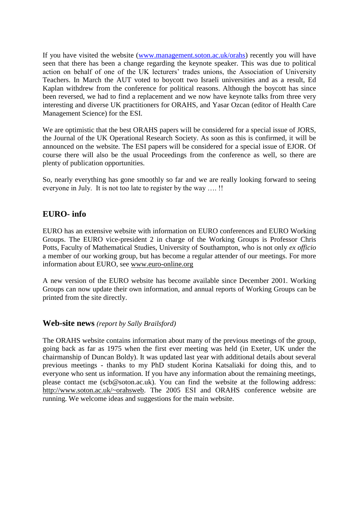If you have visited the website [\(www.management.soton.ac.uk/orahs\)](http://www.management.soton.ac.uk/orahs) recently you will have seen that there has been a change regarding the keynote speaker. This was due to political action on behalf of one of the UK lecturers' trades unions, the Association of University Teachers. In March the AUT voted to boycott two Israeli universities and as a result, Ed Kaplan withdrew from the conference for political reasons. Although the boycott has since been reversed, we had to find a replacement and we now have keynote talks from three very interesting and diverse UK practitioners for ORAHS, and Yasar Ozcan (editor of Health Care Management Science) for the ESI.

We are optimistic that the best ORAHS papers will be considered for a special issue of JORS, the Journal of the UK Operational Research Society. As soon as this is confirmed, it will be announced on the website. The ESI papers will be considered for a special issue of EJOR. Of course there will also be the usual Proceedings from the conference as well, so there are plenty of publication opportunities.

So, nearly everything has gone smoothly so far and we are really looking forward to seeing everyone in July. It is not too late to register by the way …. !!

# **EURO- info**

EURO has an extensive website with information on EURO conferences and EURO Working Groups. The EURO vice-president 2 in charge of the Working Groups is Professor Chris Potts, Faculty of Mathematical Studies, University of Southampton, who is not only *ex officio* a member of our working group, but has become a regular attender of our meetings. For more information about EURO, see [www.euro-online.org](http://www.euro-online.org/)

A new version of the EURO website has become available since December 2001. Working Groups can now update their own information, and annual reports of Working Groups can be printed from the site directly.

## **Web-site news** *(report by Sally Brailsford)*

The ORAHS website contains information about many of the previous meetings of the group, going back as far as 1975 when the first ever meeting was held (in Exeter, UK under the chairmanship of Duncan Boldy). It was updated last year with additional details about several previous meetings - thanks to my PhD student Korina Katsaliaki for doing this, and to everyone who sent us information. If you have any information about the remaining meetings, please contact me (scb@soton.ac.uk). You can find the website at the following address: [http://www.soton.ac.uk/~orahsweb.](http://www.soton.ac.uk/~orahsweb) The 2005 ESI and ORAHS conference website are running. We welcome ideas and suggestions for the main website.